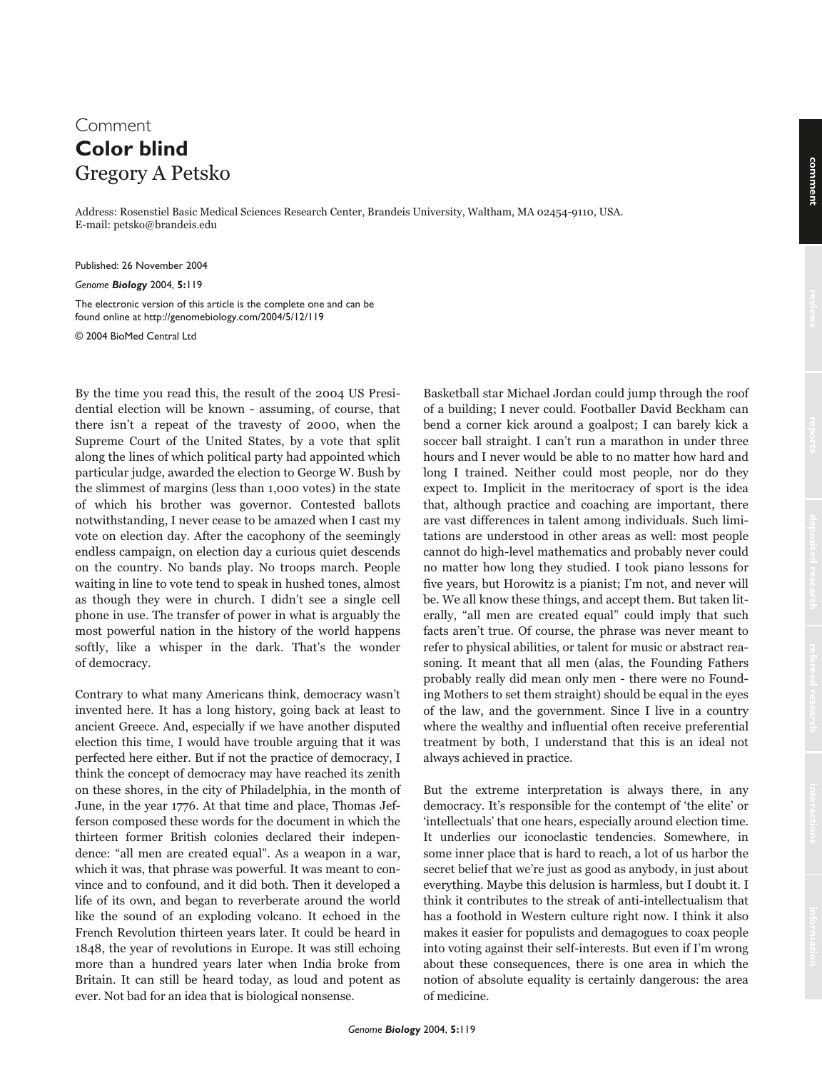## Comment **Color blind** Gregory A Petsko

Address: Rosenstiel Basic Medical Sciences Research Center, Brandeis University, Waltham, MA 02454-9110, USA. E-mail: petsko@brandeis.edu

Published: 26 November 2004

*Genome Biology* 2004, **5:**119

The electronic version of this article is the complete one and can be found online at http://genomebiology.com/2004/5/12/119

© 2004 BioMed Central Ltd

By the time you read this, the result of the 2004 US Presidential election will be known - assuming, of course, that there isn't a repeat of the travesty of 2000, when the Supreme Court of the United States, by a vote that split along the lines of which political party had appointed which particular judge, awarded the election to George W. Bush by the slimmest of margins (less than 1,000 votes) in the state of which his brother was governor. Contested ballots notwithstanding, I never cease to be amazed when I cast my vote on election day. After the cacophony of the seemingly endless campaign, on election day a curious quiet descends on the country. No bands play. No troops march. People waiting in line to vote tend to speak in hushed tones, almost as though they were in church. I didn't see a single cell phone in use. The transfer of power in what is arguably the most powerful nation in the history of the world happens softly, like a whisper in the dark. That's the wonder of democracy.

Contrary to what many Americans think, democracy wasn't invented here. It has a long history, going back at least to ancient Greece. And, especially if we have another disputed election this time, I would have trouble arguing that it was perfected here either. But if not the practice of democracy, I think the concept of democracy may have reached its zenith on these shores, in the city of Philadelphia, in the month of June, in the year 1776. At that time and place, Thomas Jefferson composed these words for the document in which the thirteen former British colonies declared their independence: "all men are created equal". As a weapon in a war, which it was, that phrase was powerful. It was meant to convince and to confound, and it did both. Then it developed a life of its own, and began to reverberate around the world like the sound of an exploding volcano. It echoed in the French Revolution thirteen years later. It could be heard in 1848, the year of revolutions in Europe. It was still echoing more than a hundred years later when India broke from Britain. It can still be heard today, as loud and potent as ever. Not bad for an idea that is biological nonsense.

Basketball star Michael Jordan could jump through the roof of a building; I never could. Footballer David Beckham can bend a corner kick around a goalpost; I can barely kick a soccer ball straight. I can't run a marathon in under three hours and I never would be able to no matter how hard and long I trained. Neither could most people, nor do they expect to. Implicit in the meritocracy of sport is the idea that, although practice and coaching are important, there are vast differences in talent among individuals. Such limitations are understood in other areas as well: most people cannot do high-level mathematics and probably never could no matter how long they studied. I took piano lessons for five years, but Horowitz is a pianist; I'm not, and never will be. We all know these things, and accept them. But taken literally, "all men are created equal" could imply that such facts aren't true. Of course, the phrase was never meant to refer to physical abilities, or talent for music or abstract reasoning. It meant that all men (alas, the Founding Fathers probably really did mean only men - there were no Founding Mothers to set them straight) should be equal in the eyes of the law, and the government. Since I live in a country where the wealthy and influential often receive preferential treatment by both, I understand that this is an ideal not always achieved in practice.

But the extreme interpretation is always there, in any democracy. It's responsible for the contempt of 'the elite' or 'intellectuals' that one hears, especially around election time. It underlies our iconoclastic tendencies. Somewhere, in some inner place that is hard to reach, a lot of us harbor the secret belief that we're just as good as anybody, in just about everything. Maybe this delusion is harmless, but I doubt it. I think it contributes to the streak of anti-intellectualism that has a foothold in Western culture right now. I think it also makes it easier for populists and demagogues to coax people into voting against their self-interests. But even if I'm wrong about these consequences, there is one area in which the notion of absolute equality is certainly dangerous: the area of medicine.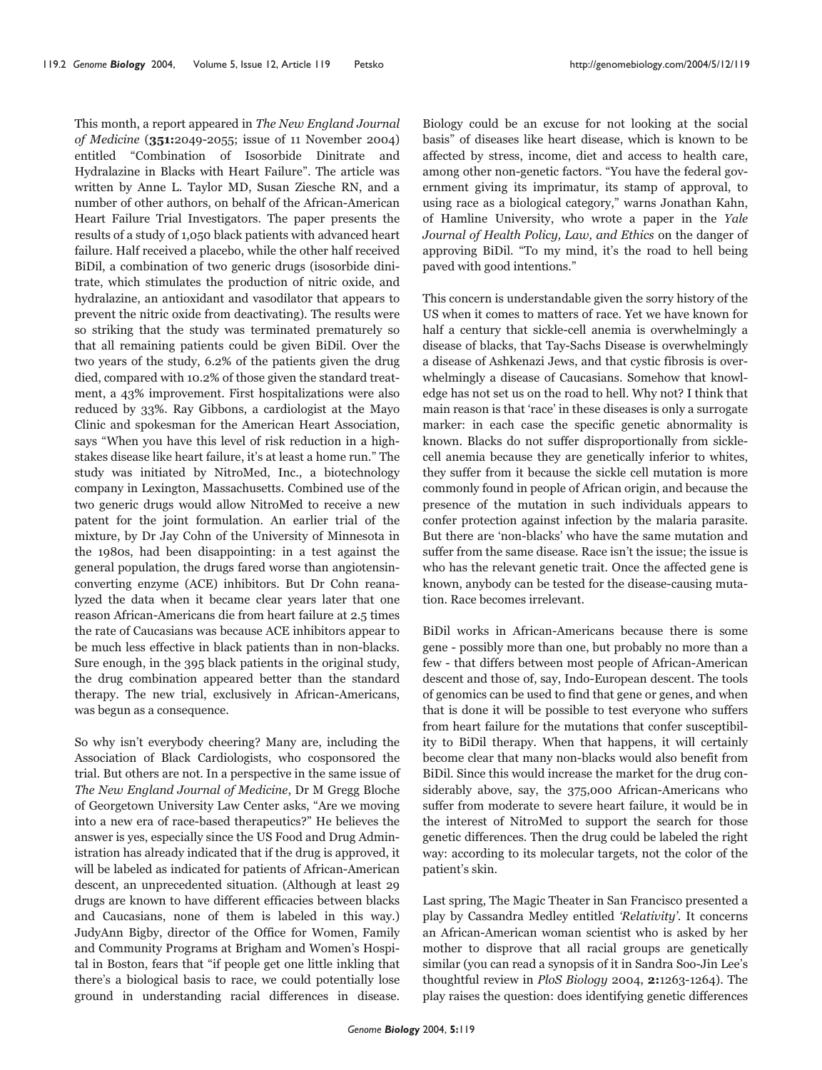This month, a report appeared in The New England Journal of Medicine (351:2049-2055; issue of 11 November 2004) entitled "Combination of Isosorbide Dinitrate and Hydralazine in Blacks with Heart Failure". The article was written by Anne L. Taylor MD, Susan Ziesche RN, and a number of other authors, on behalf of the African-American Heart Failure Trial Investigators. The paper presents the results of a study of 1,050 black patients with advanced heart failure. Half received a placebo, while the other half received BiDil, a combination of two generic drugs (isosorbide dinitrate, which stimulates the production of nitric oxide, and hydralazine, an antioxidant and vasodilator that appears to prevent the nitric oxide from deactivating). The results were so striking that the study was terminated prematurely so that all remaining patients could be given BiDil. Over the two years of the study, 6.2% of the patients given the drug died, compared with 10.2% of those given the standard treatment, a 43% improvement. First hospitalizations were also reduced by 33%. Ray Gibbons, a cardiologist at the Mayo Clinic and spokesman for the American Heart Association, says "When you have this level of risk reduction in a highstakes disease like heart failure, it's at least a home run." The study was initiated by NitroMed, Inc., a biotechnology company in Lexington, Massachusetts. Combined use of the two generic drugs would allow NitroMed to receive a new patent for the joint formulation. An earlier trial of the mixture, by Dr Jay Cohn of the University of Minnesota in the 1980s, had been disappointing: in a test against the general population, the drugs fared worse than angiotensinconverting enzyme (ACE) inhibitors. But Dr Cohn reanalyzed the data when it became clear years later that one reason African-Americans die from heart failure at 2.5 times the rate of Caucasians was because ACE inhibitors appear to be much less effective in black patients than in non-blacks. Sure enough, in the 395 black patients in the original study, the drug combination appeared better than the standard therapy. The new trial, exclusively in African-Americans, was begun as a consequence.

So why isn't everybody cheering? Many are, including the Association of Black Cardiologists, who cosponsored the trial. But others are not. In a perspective in the same issue of The New England Journal of Medicine, Dr M Gregg Bloche of Georgetown University Law Center asks, "Are we moving into a new era of race-based therapeutics?" He believes the answer is yes, especially since the US Food and Drug Administration has already indicated that if the drug is approved, it will be labeled as indicated for patients of African-American descent, an unprecedented situation. (Although at least 29 drugs are known to have different efficacies between blacks and Caucasians, none of them is labeled in this way.) JudyAnn Bigby, director of the Office for Women, Family and Community Programs at Brigham and Women's Hospital in Boston, fears that "if people get one little inkling that there's a biological basis to race, we could potentially lose ground in understanding racial differences in disease.

Biology could be an excuse for not looking at the social basis" of diseases like heart disease, which is known to be affected by stress, income, diet and access to health care, among other non-genetic factors. "You have the federal government giving its imprimatur, its stamp of approval, to using race as a biological category," warns Jonathan Kahn, of Hamline University, who wrote a paper in the Yale Journal of Health Policy, Law, and Ethics on the danger of approving BiDil. "To my mind, it's the road to hell being paved with good intentions."

This concern is understandable given the sorry history of the US when it comes to matters of race. Yet we have known for half a century that sickle-cell anemia is overwhelmingly a disease of blacks, that Tay-Sachs Disease is overwhelmingly a disease of Ashkenazi Jews, and that cystic fibrosis is overwhelmingly a disease of Caucasians. Somehow that knowledge has not set us on the road to hell. Why not? I think that main reason is that 'race' in these diseases is only a surrogate marker: in each case the specific genetic abnormality is known. Blacks do not suffer disproportionally from sicklecell anemia because they are genetically inferior to whites, they suffer from it because the sickle cell mutation is more commonly found in people of African origin, and because the presence of the mutation in such individuals appears to confer protection against infection by the malaria parasite. But there are 'non-blacks' who have the same mutation and suffer from the same disease. Race isn't the issue; the issue is who has the relevant genetic trait. Once the affected gene is known, anybody can be tested for the disease-causing mutation. Race becomes irrelevant.

BiDil works in African-Americans because there is some gene - possibly more than one, but probably no more than a few - that differs between most people of African-American descent and those of, say, Indo-European descent. The tools of genomics can be used to find that gene or genes, and when that is done it will be possible to test everyone who suffers from heart failure for the mutations that confer susceptibility to BiDil therapy. When that happens, it will certainly become clear that many non-blacks would also benefit from BiDil. Since this would increase the market for the drug considerably above, say, the 375,000 African-Americans who suffer from moderate to severe heart failure, it would be in the interest of NitroMed to support the search for those genetic differences. Then the drug could be labeled the right way: according to its molecular targets, not the color of the patient's skin.

Last spring, The Magic Theater in San Francisco presented a play by Cassandra Medley entitled 'Relativity'. It concerns an African-American woman scientist who is asked by her mother to disprove that all racial groups are genetically similar (you can read a synopsis of it in Sandra Soo-Jin Lee's thoughtful review in PloS Biology 2004, 2:1263-1264). The play raises the question: does identifying genetic differences